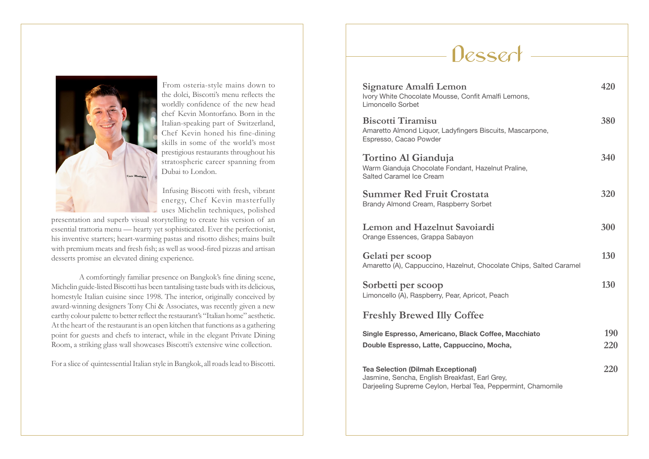

From osteria-style mains down to the dolci, Biscotti's menu reflects the worldly confidence of the new head chef Kevin Montorfano. Born in the Italian-speaking part of Switzerland, Chef Kevin honed his fine-dining skills in some of the world's most prestigious restaurants throughout his stratospheric career spanning from Dubai to London.

Infusing Biscotti with fresh, vibrant energy, Chef Kevin masterfully uses Michelin techniques, polished

presentation and superb visual storytelling to create his version of an essential trattoria menu — hearty yet sophisticated. Ever the perfectionist, his inventive starters; heart-warming pastas and risotto dishes; mains built with premium meats and fresh fish; as well as wood-fired pizzas and artisan desserts promise an elevated dining experience.

A comfortingly familiar presence on Bangkok's fine dining scene, Michelin guide-listed Biscotti has been tantalising taste buds with its delicious, homestyle Italian cuisine since 1998. The interior, originally conceived by award-winning designers Tony Chi & Associates, was recently given a new earthy colour palette to better reflect the restaurant's "Italian home" aesthetic. At the heart of the restaurant is an open kitchen that functions as a gathering point for guests and chefs to interact, while in the elegant Private Dining Room, a striking glass wall showcases Biscotti's extensive wine collection.

For a slice of quintessential Italian style in Bangkok, all roads lead to Biscotti.

### **Dessert**

| <b>Signature Amalfi Lemon</b><br>Ivory White Chocolate Mousse, Confit Amalfi Lemons,<br>Limoncello Sorbet                                                   | 420        |
|-------------------------------------------------------------------------------------------------------------------------------------------------------------|------------|
| <b>Biscotti Tiramisu</b><br>Amaretto Almond Liquor, Ladyfingers Biscuits, Mascarpone,<br>Espresso, Cacao Powder                                             | 380        |
| Tortino Al Gianduja<br>Warm Gianduja Chocolate Fondant, Hazelnut Praline,<br>Salted Caramel Ice Cream                                                       | 340        |
| <b>Summer Red Fruit Crostata</b><br>Brandy Almond Cream, Raspberry Sorbet                                                                                   | 320        |
| <b>Lemon and Hazelnut Savoiardi</b><br>Orange Essences, Grappa Sabayon                                                                                      | 300        |
| Gelati per scoop<br>Amaretto (A), Cappuccino, Hazelnut, Chocolate Chips, Salted Caramel                                                                     | 130        |
| Sorbetti per scoop<br>Limoncello (A), Raspberry, Pear, Apricot, Peach                                                                                       | 130        |
| <b>Freshly Brewed Illy Coffee</b>                                                                                                                           |            |
| Single Espresso, Americano, Black Coffee, Macchiato<br>Double Espresso, Latte, Cappuccino, Mocha,                                                           | 190<br>220 |
| <b>Tea Selection (Dilmah Exceptional)</b><br>Jasmine, Sencha, English Breakfast, Earl Grey,<br>Darjeeling Supreme Ceylon, Herbal Tea, Peppermint, Chamomile | 220        |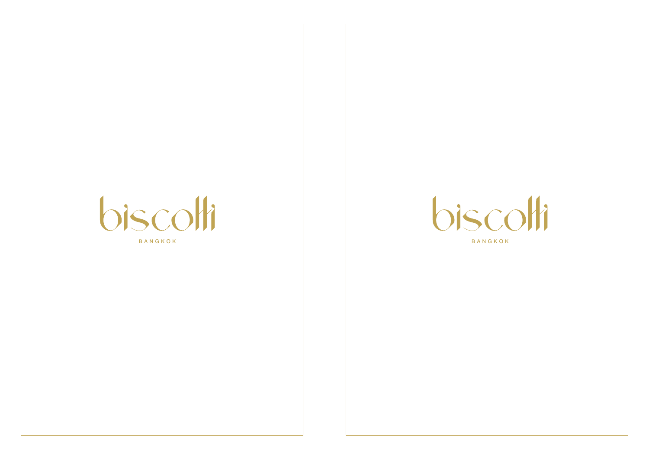# biscolli

BANGKOK



BANGKOK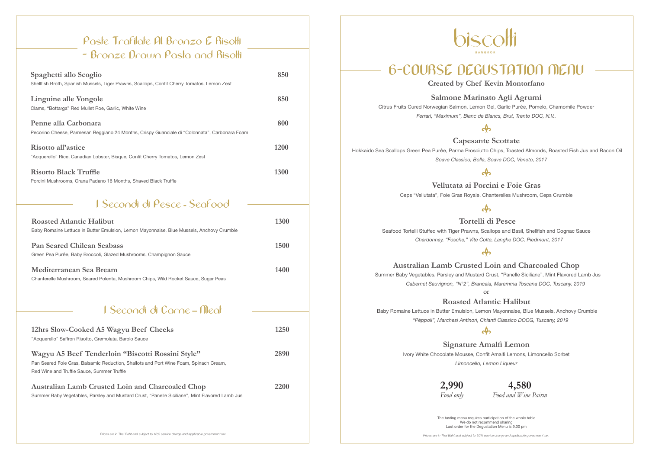| <b>Roasted Atlantic Halibut</b><br>Baby Romaine Lettuce in Butter Emulsion, Lemon Mayonnaise, Blue Mussels, Anchovy Crumble | 1300 |
|-----------------------------------------------------------------------------------------------------------------------------|------|
| <b>Pan Seared Chilean Seabass</b><br>Green Pea Purée, Baby Broccoli, Glazed Mushrooms, Champignon Sauce                     | 1500 |
| Mediterranean Sea Bream<br>Chanterelle Mushroom, Seared Polenta, Mushroom Chips, Wild Rocket Sauce, Sugar Peas              | 1400 |

| 12hrs Slow-Cooked A5 Wagyu Beef Cheeks<br>"Acquerello" Saffron Risotto, Gremolata, Barolo Sauce                                                                                          | 1250 |
|------------------------------------------------------------------------------------------------------------------------------------------------------------------------------------------|------|
| Wagyu A5 Beef Tenderloin "Biscotti Rossini Style"<br>Pan Seared Foie Gras, Balsamic Reduction, Shallots and Port Wine Foam, Spinach Cream,<br>Red Wine and Truffle Sauce, Summer Truffle | 2890 |
| <b>Australian Lamb Crusted Loin and Charcoaled Chop</b><br>Summer Baby Vegetables, Parsley and Mustard Crust, "Panelle Siciliane", Mint Flavored Lamb Jus                                | 2200 |

biscolli

 $\mathbf{A}$ **Capesante Scottate** Hokkaido Sea Scallops Green Pea Purée, Parma Prosciutto Chips, Toasted Almonds, Roasted Fish Jus and Bacon Oil  *Soave Classico, Bolla, Soave DOC, Veneto, 2017*

#### **I Secondi di Pesce - Seafood**

### **I Secondi di Carne – Meat**

 $\mathbf{a}$  **Tortelli di Pesce** Seafood Tortelli Stuffed with Tiger Prawns, Scallops and Basil, Shellfish and Cognac Sauce  *Chardonnay, "Fosche," Vite Colte, Langhe DOC, Piedmont, 2017*

 $\mathbf{a}$ 

# **6-COURSE DEGUSTATION MENU**

**Created by Chef Kevin Montorfano**

**2,990** *Food only*

**4,580** *Food and Wine Pairin*

**Salmone Marinato Agli Agrumi** Citrus Fruits Cured Norwegian Salmon, Lemon Gel, Garlic Purée, Pomelo, Chamomile Powder *Ferrari, "Maximum", Blanc de Blancs, Brut, Trento DOC, N.V..*

**Vellutata ai Porcini e Foie Gras** Ceps "Vellutata", Foie Gras Royale, Chanterelles Mushroom, Ceps Crumble

#### **Australian Lamb Crusted Loin and Charcoaled Chop**

 Summer Baby Vegetables, Parsley and Mustard Crust, "Panelle Siciliane", Mint Flavored Lamb Jus  *Cabernet Sauvignon, "N°2", Brancaia, Maremma Toscana DOC, Tuscany, 2019* or

**Roasted Atlantic Halibut**

 Baby Romaine Lettuce in Butter Emulsion, Lemon Mayonnaise, Blue Mussels, Anchovy Crumble  *"Pèppoli", Marchesi Antinori, Chianti Classico DOCG, Tuscany, 2019*

 $\mathbf{a}$ 

**Signature Amalfi Lemon** Ivory White Chocolate Mousse, Confit Amalfi Lemons, Limoncello Sorbet *Limoncello, Lemon Liqueur*

| Spaghetti allo Scoglio<br>Shellfish Broth, Spanish Mussels, Tiger Prawns, Scallops, Confit Cherry Tomatos, Lemon Zest | 850  |
|-----------------------------------------------------------------------------------------------------------------------|------|
| Linguine alle Vongole<br>Clams, "Bottarga" Red Mullet Roe, Garlic, White Wine                                         | 850  |
| Penne alla Carbonara<br>Pecorino Cheese, Parmesan Reggiano 24 Months, Crispy Guanciale di "Colonnata", Carbonara Foam | 800  |
| Risotto all'astice<br>"Acquerello" Rice, Canadian Lobster, Bisque, Confit Cherry Tomatos, Lemon Zest                  | 1200 |
| <b>Risotto Black Truffle</b><br>Porcini Mushrooms, Grana Padano 16 Months, Shaved Black Truffle                       | 1300 |

### **Paste Trafilate Al Bronzo E Risotti - Bronze Drawn Pasta and Risotti**

The tasting menu requires participation of the whole table We do not recommend sharing Last order for the Degustation Menu is 9.00 pm

Prices are in Thai Baht and subject to 10% service charge and applicable government tax. **Prices are in Thai Baht and subject to 10% service charge and applicable government tax.** 



#### $\mathbf{a}$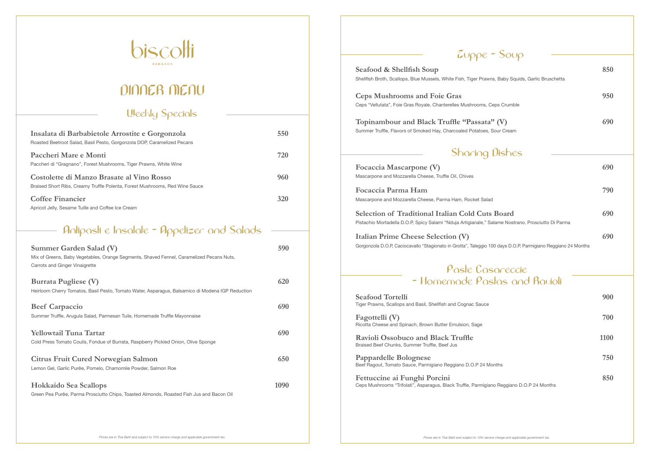| Summer Garden Salad (V)<br>Mix of Greens, Baby Vegetables, Orange Segments, Shaved Fennel, Caramelized Pecans Nuts,<br>Carrots and Ginger Vinaigrette | 590  |
|-------------------------------------------------------------------------------------------------------------------------------------------------------|------|
| <b>Burrata Pugliese (V)</b><br>Heirloom Cherry Tomatos, Basil Pesto, Tomato Water, Asparagus, Balsamico di Modena IGP Reduction                       | 620  |
| <b>Beef Carpaccio</b><br>Summer Truffle, Arugula Salad, Parmesan Tuile, Homemade Truffle Mayonnaise                                                   | 690  |
| <b>Yellowtail Tuna Tartar</b><br>Cold Press Tomato Coulis, Fondue of Burrata, Raspberry Pickled Onion, Olive Sponge                                   | 690  |
| <b>Citrus Fruit Cured Norwegian Salmon</b><br>Lemon Gel, Garlic Purée, Pomelo, Chamomile Powder, Salmon Roe                                           | 650  |
| <b>Hokkaido Sea Scallops</b><br>Green Pea Purée, Parma Prosciutto Chips, Toasted Almonds, Roasted Fish Jus and Bacon Oil                              | 1090 |

 $Zupp$ 

**Seafood & Shellfish Soup** Shellfish Broth, Scallops, Blue Mussels, White Fish, Tiger Prawn

**Ceps Mushrooms and Foie Gras** Ceps "Vellutata", Foie Gras Royale, Chanterelles Mushrooms, C

Topinambour and Black Truffle "Passata" Summer Truffle, Flavors of Smoked Hay, Charcoaled Potatoes,

#### **Sharing**

Focaccia Mascarpone (V) Mascarpone and Mozzarella Cheese, Truffle Oil, Chives

**Focaccia Parma Ham** Mascarpone and Mozzarella Cheese, Parma Ham, Rocket Salad

**Selection of Traditional Italian Cold Cuts** Pistachio Mortadella D.O.P, Spicy Salami "Nduja Artigianale," Sa

**Italian Prime Cheese Selection (V)** Gorgonzola D.O.P, Caciocavallo "Stagionato in Grotta", Taleggio 1

#### Paste Cas - Homemade Pas

**Seafood Tortelli** Tiger Prawns, Scallops and Basil, Shellfish and Cognac Sauce

**Fagottelli** (V) Ricotta Cheese and Spinach, Brown Butter Emulsion, Sage

**Ravioli Ossobuco and Black Truffle** Braised Beef Chunks, Summer Truffle, Beef Jus

**Pappardelle Bolognese 750** Beef Ragout, Tomato Sauce, Parmigiano Reggiano D.O.P 24 M

**Fettuccine ai Funghi Porcini** Ceps Mushrooms "Trifolati", Asparagus, Black Truffle, Parmigiano

| $-$ Soup                                                           |      |  |
|--------------------------------------------------------------------|------|--|
| ns, Baby Squids, Garlic Bruschetta                                 | 850  |  |
|                                                                    | 950  |  |
| Ceps Crumble                                                       |      |  |
| $\mathfrak{c}^{\prime\prime}\left(\mathrm{V}\right)$<br>Sour Cream | 690  |  |
| Dishes                                                             |      |  |
|                                                                    | 690  |  |
|                                                                    | 790  |  |
| d<br>s Board                                                       | 690  |  |
| Salame Nostrano, Prosciutto Di Parma                               |      |  |
| 00 days D.O.P, Parmigiano Reggiano 24 Months                       | 690  |  |
| sareccie                                                           |      |  |
| stas and Rauioli                                                   |      |  |
|                                                                    | 900  |  |
|                                                                    | 700  |  |
|                                                                    | 1100 |  |
| lonths                                                             | 750  |  |
| no Reggiano D.O.P 24 Months                                        | 850  |  |
|                                                                    |      |  |
|                                                                    |      |  |

### **Antipasti e Insalate - Appetizer and Salads**



## **DINNER MENU**

| Insalata di Barbabietole Arrostite e Gorgonzola<br>Roasted Beetroot Salad, Basil Pesto, Gorgonzola DOP, Caramelized Pecans | 550 |
|----------------------------------------------------------------------------------------------------------------------------|-----|
| Paccheri Mare e Monti<br>Paccheri di "Gragnano", Forest Mushrooms, Tiger Prawns, White Wine                                | 720 |
| Costolette di Manzo Brasate al Vino Rosso<br>Braised Short Ribs, Creamy Truffle Polenta, Forest Mushrooms, Red Wine Sauce  | 960 |
| <b>Coffee Financier</b><br>Apricot Jelly, Sesame Tuille and Coffee Ice Cream                                               | 320 |

### **Weekly Specials**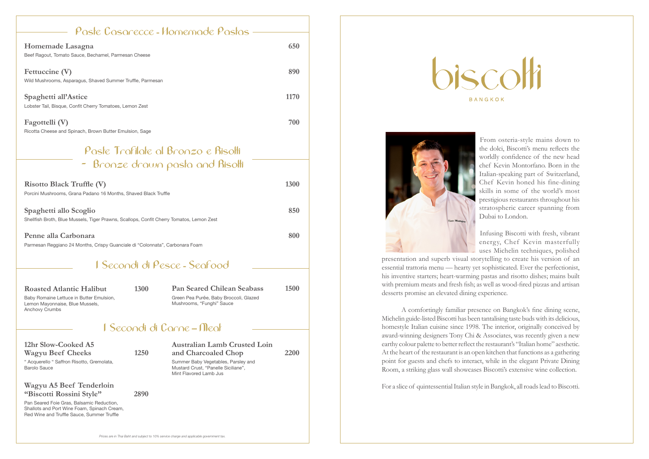From osteria-style mains down to the dolci, Biscotti's menu reflects the worldly confidence of the new head chef Kevin Montorfano. Born in the Italian-speaking part of Switzerland, Chef Kevin honed his fine-dining skills in some of the world's most prestigious restaurants throughout his stratospheric career spanning from Dubai to London.

Infusing Biscotti with fresh, vibrant energy, Chef Kevin masterfully uses Michelin techniques, polished

presentation and superb visual storytelling to create his version of an essential trattoria menu — hearty yet sophisticated. Ever the perfectionist, his inventive starters; heart-warming pastas and risotto dishes; mains built with premium meats and fresh fish; as well as wood-fired pizzas and artisan desserts promise an elevated dining experience.

A comfortingly familiar presence on Bangkok's fine dining scene, Michelin guide-listed Biscotti has been tantalising taste buds with its delicious, homestyle Italian cuisine since 1998. The interior, originally conceived by award-winning designers Tony Chi & Associates, was recently given a new earthy colour palette to better reflect the restaurant's "Italian home" aesthetic. At the heart of the restaurant is an open kitchen that functions as a gathering point for guests and chefs to interact, while in the elegant Private Dining Room, a striking glass wall showcases Biscotti's extensive wine collection.

For a slice of quintessential Italian style in Bangkok, all roads lead to Biscotti.

*Prices are in Thai Baht and subject to 10% service charge and applicable government tax.*



| <b>Risotto Black Truffle (V)</b><br>Porcini Mushrooms, Grana Padano 16 Months, Shaved Black Truffle                | <b>1300</b> |
|--------------------------------------------------------------------------------------------------------------------|-------------|
| Spaghetti allo Scoglio<br>Shellfish Broth, Blue Mussels, Tiger Prawns, Scallops, Confit Cherry Tomatos, Lemon Zest | 850         |
| Penne alla Carbonara<br>Parmesan Reggiano 24 Months, Crispy Guanciale di "Colonnata", Carbonara Foam               | 800         |

### **Paste Trafilate al Bronzo e Risotti - Bronze drawn pasta and Risotti**

| Poste Cosorecce - Homemode Postos                                                |      |
|----------------------------------------------------------------------------------|------|
| Homemade Lasagna<br>Beef Ragout, Tomato Sauce, Bechamel, Parmesan Cheese         | 650  |
| Fettuccine (V)<br>Wild Mushrooms, Asparagus, Shaved Summer Truffle, Parmesan     | 890  |
| Spaghetti all'Astice<br>Lobster Tail, Bisque, Confit Cherry Tomatoes, Lemon Zest | 1170 |
| Fagottelli (V)<br>Ricotta Cheese and Spinach, Brown Butter Emulsion, Sage        | 700  |

| <b>Roasted Atlantic Halibut</b>                                                                      | 1300 | <b>Pan Seared Chilean Seabass</b>                                   | 1500 |
|------------------------------------------------------------------------------------------------------|------|---------------------------------------------------------------------|------|
| Baby Romaine Lettuce in Butter Emulsion,<br>Lemon Mayonnaise, Blue Mussels,<br><b>Anchovy Crumbs</b> |      | Green Pea Purée, Baby Broccoli, Glazed<br>Mushrooms, "Funghi" Sauce |      |

### **Australian Lamb Crusted Loin and Charcoaled Chop 2200**

Summer Baby Vegetables, Parsley and Mustard Crust, "Panelle Siciliane", Mint Flavored Lamb Jus

BANGKOK



#### **I Secondi di Pesce - Seafood**

| 12hr Slow-Cooked A5                                                                                                                                                      |      |
|--------------------------------------------------------------------------------------------------------------------------------------------------------------------------|------|
| <b>Wagyu Beef Cheeks</b>                                                                                                                                                 | 1250 |
| " Acquerello " Saffron Risotto, Gremolata,<br>Barolo Sauce                                                                                                               |      |
| $W_2$ <sub>a</sub> $m_1$ $\Delta$ $\overline{B}$ $\overline{B}$ $\overline{B}$ $\overline{B}$ $\overline{C}$ $\overline{B}$ $\overline{B}$ $\overline{B}$ $\overline{B}$ |      |

#### **Wagyu A5 Beef Tenderloin "Biscotti Rossini Style" 2890**

Pan Seared Foie Gras, Balsamic Reduction, Shallots and Port Wine Foam, Spinach Cream, Red Wine and Truffle Sauce, Summer Truffle

### **I Secondi di Carne – Meat**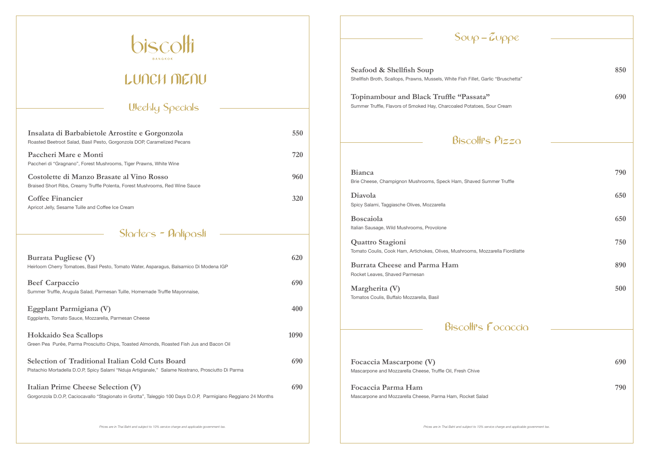*Prices are in Thai Baht and subject to 10% service charge and applicable government tax.*

| <b>Burrata Pugliese (V)</b><br>Heirloom Cherry Tomatoes, Basil Pesto, Tomato Water, Asparagus, Balsamico Di Modena IGP                                        | 620  |
|---------------------------------------------------------------------------------------------------------------------------------------------------------------|------|
| <b>Beef Carpaccio</b><br>Summer Truffle, Arugula Salad, Parmesan Tuille, Homemade Truffle Mayonnaise,                                                         | 690  |
| Eggplant Parmigiana (V)<br>Eggplants, Tomato Sauce, Mozzarella, Parmesan Cheese                                                                               | 400  |
| <b>Hokkaido Sea Scallops</b><br>Green Pea Purée, Parma Prosciutto Chips, Toasted Almonds, Roasted Fish Jus and Bacon Oil                                      | 1090 |
| <b>Selection of Traditional Italian Cold Cuts Board</b><br>Pistachio Mortadella D.O.P, Spicy Salami "Nduja Artigianale," Salame Nostrano, Prosciutto Di Parma | 690  |
| <b>Italian Prime Cheese Selection (V)</b><br>Gorgonzola D.O.P, Caciocavallo "Stagionato in Grotta", Taleggio 100 Days D.O.P, Parmigiano Reggiano 24 Months    | 690  |

#### **Topinambour and Black Truffle "Passata" 690** Summer Truffle, Flavors of Smoked Hay, Charcoaled Potatoes, Sour

### $Biscoth's$

#### Biscott's F

### **Starters - Antipasti**



# **LUNCH MENU**

| $Sov\rho - Zop\rho e$                                                                                             |     |
|-------------------------------------------------------------------------------------------------------------------|-----|
| Seafood & Shellfish Soup<br>Shellfish Broth, Scallops, Prawns, Mussels, White Fish Fillet, Garlic "Bruschetta"    | 850 |
| Topinambour and Black Truffle "Passata"<br>Summer Truffle, Flavors of Smoked Hay, Charcoaled Potatoes, Sour Cream | 690 |
| <b>Biscolli's Pizzo</b>                                                                                           |     |
| <b>Bianca</b><br>Brie Cheese, Champignon Mushrooms, Speck Ham, Shaved Summer Truffle                              | 790 |
| Diavola<br>Spicy Salami, Taggiasche Olives, Mozzarella                                                            | 650 |
| <b>Boscaiola</b><br>Italian Sausage, Wild Mushrooms, Provolone                                                    | 650 |
| <b>Quattro Stagioni</b><br>Tomato Coulis, Cook Ham, Artichokes, Olives, Mushrooms, Mozzarella Fiordilatte         | 750 |
| <b>Burrata Cheese and Parma Ham</b><br>Rocket Leaves, Shaved Parmesan                                             | 890 |
| Margherita (V)<br>Tomatos Coulis, Buffalo Mozzarella, Basil                                                       | 500 |
| <b>Biscolli's Fococcio</b>                                                                                        |     |
|                                                                                                                   |     |
| Focaccia Mascarpone (V)<br>Mascarpone and Mozzarella Cheese, Truffle Oil, Fresh Chive                             | 690 |
| Focaccia Parma Ham<br>Mascarpone and Mozzarella Cheese, Parma Ham, Rocket Salad                                   | 790 |
| Prices are in Thai Baht and subject to 10% service charge and applicable government tax.                          |     |

| Insalata di Barbabietole Arrostite e Gorgonzola<br>Roasted Beetroot Salad, Basil Pesto, Gorgonzola DOP, Caramelized Pecans | 550 |
|----------------------------------------------------------------------------------------------------------------------------|-----|
| Paccheri Mare e Monti<br>Paccheri di "Gragnano", Forest Mushrooms, Tiger Prawns, White Wine                                | 720 |
| Costolette di Manzo Brasate al Vino Rosso<br>Braised Short Ribs, Creamy Truffle Polenta, Forest Mushrooms, Red Wine Sauce  | 960 |
| <b>Coffee Financier</b><br>Apricot Jelly, Sesame Tuille and Coffee Ice Cream                                               | 320 |

#### **Weekly Specials**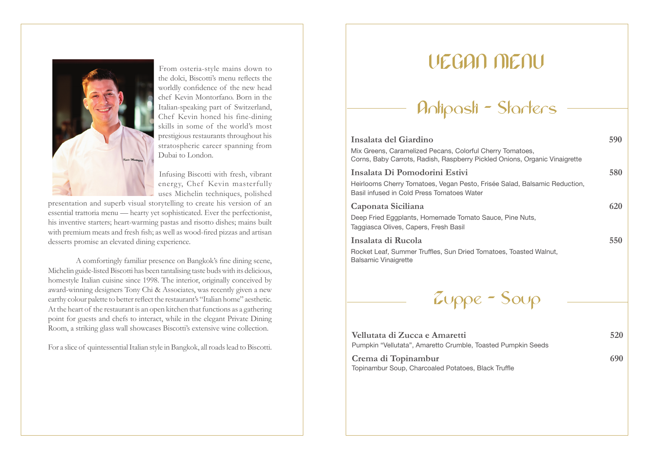

From osteria-style mains down to the dolci, Biscotti's menu reflects the worldly confidence of the new head chef Kevin Montorfano. Born in the Italian-speaking part of Switzerland, Chef Kevin honed his fine-dining skills in some of the world's most prestigious restaurants throughout his stratospheric career spanning from Dubai to London.

Infusing Biscotti with fresh, vibrant energy, Chef Kevin masterfully uses Michelin techniques, polished

presentation and superb visual storytelling to create his version of an essential trattoria menu — hearty yet sophisticated. Ever the perfectionist, his inventive starters; heart-warming pastas and risotto dishes; mains built with premium meats and fresh fish; as well as wood-fired pizzas and artisan desserts promise an elevated dining experience.

A comfortingly familiar presence on Bangkok's fine dining scene, Michelin guide-listed Biscotti has been tantalising taste buds with its delicious, homestyle Italian cuisine since 1998. The interior, originally conceived by award-winning designers Tony Chi & Associates, was recently given a new earthy colour palette to better reflect the restaurant's "Italian home" aesthetic. At the heart of the restaurant is an open kitchen that functions as a gathering point for guests and chefs to interact, while in the elegant Private Dining Room, a striking glass wall showcases Biscotti's extensive wine collection.

For a slice of quintessential Italian style in Bangkok, all roads lead to Biscotti.

### **VEGAN MENU**



| Insalata del Giardino                                                                                                                   | 590 |
|-----------------------------------------------------------------------------------------------------------------------------------------|-----|
| Mix Greens, Caramelized Pecans, Colorful Cherry Tomatoes,<br>Corns, Baby Carrots, Radish, Raspberry Pickled Onions, Organic Vinaigrette |     |
| Insalata Di Pomodorini Estivi                                                                                                           | 580 |
| Heirlooms Cherry Tomatoes, Vegan Pesto, Frisée Salad, Balsamic Reduction,<br>Basil infused in Cold Press Tomatoes Water                 |     |
| Caponata Siciliana                                                                                                                      | 620 |
| Deep Fried Eggplants, Homemade Tomato Sauce, Pine Nuts,<br>Taggiasca Olives, Capers, Fresh Basil                                        |     |
| Insalata di Rucola                                                                                                                      | 550 |
| Rocket Leaf, Summer Truffles, Sun Dried Tomatoes, Toasted Walnut,<br><b>Balsamic Vinaigrette</b>                                        |     |
|                                                                                                                                         |     |



| Vellutata di Zucca e Amaretti                                | 520 |
|--------------------------------------------------------------|-----|
| Pumpkin "Vellutata", Amaretto Crumble, Toasted Pumpkin Seeds |     |
| $C_{\ell m}$ di Toningmbur                                   | 600 |

Crema di Topinambur 690 Topinambur Soup, Charcoaled Potatoes, Black Truffle